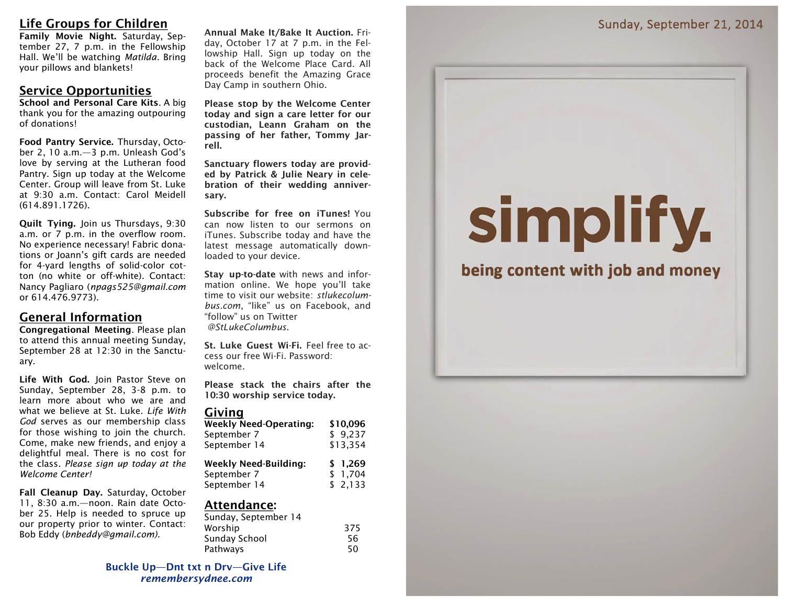## **Life Groups for Children**

**Family Movie Night.** Saturday, September 27, 7 p.m. in the Fellowship Hall. We'll be watching *Matilda.* Bring your pillows and blankets!

## **Service Opportunities**

**School and Personal Care Kits**. A big thank you for the amazing outpouring of donations!

**Food Pantry Service.** Thursday, October 2, 10 a.m.—3 p.m. Unleash God's love by serving at the Lutheran food Pantry. Sign up today at the Welcome Center. Group will leave from St. Luke at 9:30 a.m. Contact: Carol Meidell (614.891.1726).

**Quilt Tying.** Join us Thursdays, 9:30 a.m. or 7 p.m. in the overflow room. No experience necessary! Fabric donations or Joann's gift cards are needed for 4-yard lengths of solid-color cotton (no white or off-white). Contact: Nancy Pagliaro (*npags525@gmail.com* or 614.476.9773).

## **General Information**

**Congregational Meeting**. Please plan to attend this annual meeting Sunday, September 28 at 12:30 in the Sanctuary.

**Life With God.** Join Pastor Steve on Sunday, September 28, 3-8 p.m. to learn more about who we are and what we believe at St. Luke. *Life With God* serves as our membership class for those wishing to join the church. Come, make new friends, and enjoy a delightful meal. There is no cost for the class. *Please sign up today at the Welcome Center!*

**Fall Cleanup Day.** Saturday, October 11, 8:30 a.m.—noon. Rain date October 25. Help is needed to spruce up our property prior to winter. Contact: Bob Eddy (*bnbeddy@gmail.com).*

**Annual Make It/Bake It Auction.** Friday, October 17 at 7 p.m. in the Fellowship Hall. Sign up today on the back of the Welcome Place Card. All proceeds benefit the Amazing Grace Day Camp in southern Ohio.

**Please stop by the Welcome Center today and sign a care letter for our custodian, Leann Graham on the passing of her father, Tommy Jarrell.**

**Sanctuary flowers today are provided by Patrick & Julie Neary in celebration of their wedding anniversary.** 

**Subscribe for free on iTunes!** You can now listen to our sermons on iTunes. Subscribe today and have the latest message automatically downloaded to your device.

**Stay up-to-date** with news and information online. We hope you'll take time to visit our website: *stlukecolumbus.com*, "like" us on Facebook, and "follow" us on Twitter *@StLukeColumbus*.

**St. Luke Guest Wi-Fi.** Feel free to access our free Wi-Fi. Password: welcome.

**Please stack the chairs after the 10:30 worship service today.**

## **Giving**

| Weekly Need-Operating: | \$10,096 |
|------------------------|----------|
| September 7            | \$9,237  |
| September 14           | \$13,354 |
| .                      |          |

| Weekly Need-Building: | \$1,269  |
|-----------------------|----------|
| September 7           | \$ 1,704 |
| September 14          | \$2,133  |

### **Attendance:**

| 375 |
|-----|
| 56  |
| 50  |
|     |

**Buckle Up—Dnt txt n Drv—Give Life** *remembersydnee.com*

# simplify.

## being content with job and money